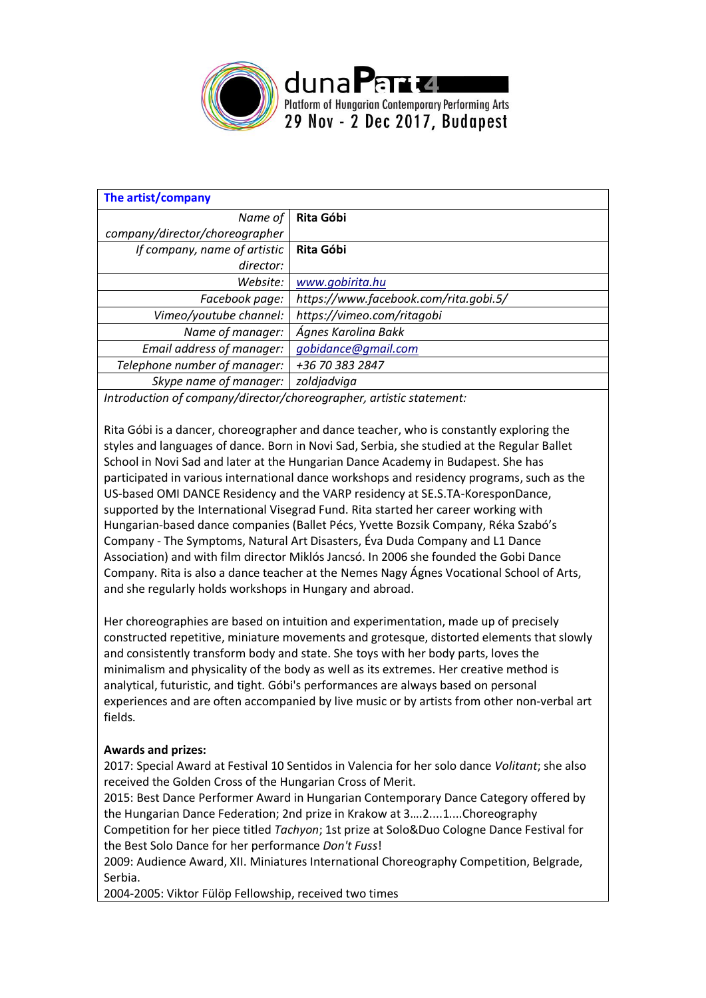

| The artist/company                    |  |  |  |
|---------------------------------------|--|--|--|
| Rita Góbi                             |  |  |  |
|                                       |  |  |  |
| Rita Góbi                             |  |  |  |
|                                       |  |  |  |
| www.gobirita.hu                       |  |  |  |
| https://www.facebook.com/rita.gobi.5/ |  |  |  |
| https://vimeo.com/ritagobi            |  |  |  |
| Ágnes Karolina Bakk                   |  |  |  |
| gobidance@gmail.com                   |  |  |  |
| +36 70 383 2847                       |  |  |  |
| zoldjadviga                           |  |  |  |
|                                       |  |  |  |

*Introduction of company/director/choreographer, artistic statement:*

Rita Góbi is a dancer, choreographer and dance teacher, who is constantly exploring the styles and languages of dance. Born in Novi Sad, Serbia, she studied at the Regular Ballet School in Novi Sad and later at the Hungarian Dance Academy in Budapest. She has participated in various international dance workshops and residency programs, such as the US-based OMI DANCE Residency and the VARP residency at SE.S.TA-KoresponDance, supported by the International Visegrad Fund. Rita started her career working with Hungarian-based dance companies (Ballet Pécs, Yvette Bozsik Company, Réka Szabó's Company - The Symptoms, Natural Art Disasters, Éva Duda Company and L1 Dance Association) and with film director Miklós Jancsó. In 2006 she founded the Gobi Dance Company. Rita is also a dance teacher at the Nemes Nagy Ágnes Vocational School of Arts, and she regularly holds workshops in Hungary and abroad.

Her choreographies are based on intuition and experimentation, made up of precisely constructed repetitive, miniature movements and grotesque, distorted elements that slowly and consistently transform body and state. She toys with her body parts, loves the minimalism and physicality of the body as well as its extremes. Her creative method is analytical, futuristic, and tight. Góbi's performances are always based on personal experiences and are often accompanied by live music or by artists from other non-verbal art fields.

## **Awards and prizes:**

2017: Special Award at Festival 10 Sentidos in Valencia for her solo dance *Volitant*; she also received the Golden Cross of the Hungarian Cross of Merit.

2015: Best Dance Performer Award in Hungarian Contemporary Dance Category offered by the Hungarian Dance Federation; 2nd prize in Krakow at 3….2....1....Choreography Competition for her piece titled *Tachyon*; 1st prize at Solo&Duo Cologne Dance Festival for the Best Solo Dance for her performance *Don't Fuss*!

2009: Audience Award, XII. Miniatures International Choreography Competition, Belgrade, Serbia.

2004-2005: Viktor Fülöp Fellowship, received two times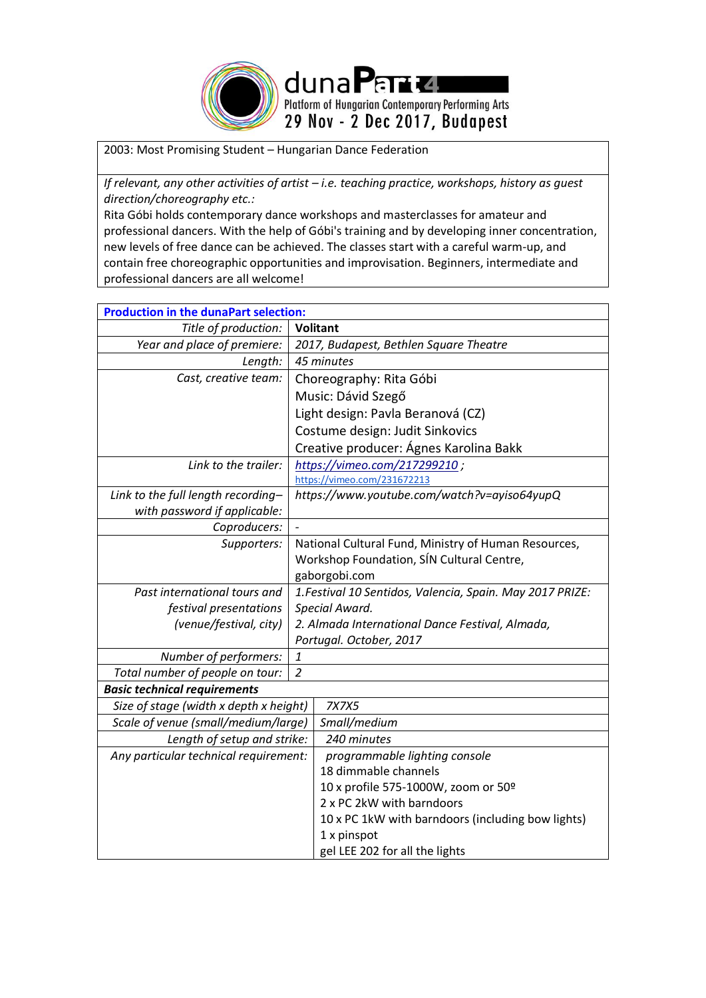

2003: Most Promising Student – Hungarian Dance Federation

*If relevant, any other activities of artist - i.e. teaching practice, workshops, history as guest direction/choreography etc.:*

Rita Góbi holds contemporary dance workshops and masterclasses for amateur and professional dancers. With the help of Góbi's training and by developing inner concentration, new levels of free dance can be achieved. The classes start with a careful warm-up, and contain free choreographic opportunities and improvisation. Beginners, intermediate and professional dancers are all welcome!

| <b>Production in the dunaPart selection:</b> |                                                           |  |  |
|----------------------------------------------|-----------------------------------------------------------|--|--|
| Title of production:                         | <b>Volitant</b>                                           |  |  |
| Year and place of premiere:                  | 2017, Budapest, Bethlen Square Theatre                    |  |  |
| Length:                                      | 45 minutes                                                |  |  |
| Cast, creative team:                         | Choreography: Rita Góbi                                   |  |  |
|                                              | Music: Dávid Szegő                                        |  |  |
|                                              | Light design: Pavla Beranová (CZ)                         |  |  |
|                                              | Costume design: Judit Sinkovics                           |  |  |
|                                              | Creative producer: Ágnes Karolina Bakk                    |  |  |
| Link to the trailer:                         | https://vimeo.com/217299210;                              |  |  |
|                                              | https://vimeo.com/231672213                               |  |  |
| Link to the full length recording-           | https://www.youtube.com/watch?v=ayiso64yupQ               |  |  |
| with password if applicable:                 |                                                           |  |  |
| Coproducers:                                 |                                                           |  |  |
| Supporters:                                  | National Cultural Fund, Ministry of Human Resources,      |  |  |
|                                              | Workshop Foundation, SÍN Cultural Centre,                 |  |  |
|                                              | gaborgobi.com                                             |  |  |
| Past international tours and                 | 1. Festival 10 Sentidos, Valencia, Spain. May 2017 PRIZE: |  |  |
| festival presentations                       | Special Award.                                            |  |  |
| (venue/festival, city)                       | 2. Almada International Dance Festival, Almada,           |  |  |
|                                              | Portugal. October, 2017                                   |  |  |
| Number of performers:                        |                                                           |  |  |
| Total number of people on tour:              |                                                           |  |  |
| <b>Basic technical requirements</b>          |                                                           |  |  |
| Size of stage (width x depth x height)       | 7X7X5                                                     |  |  |
| Scale of venue (small/medium/large)          | Small/medium                                              |  |  |
| Length of setup and strike:                  | 240 minutes                                               |  |  |
| Any particular technical requirement:        | programmable lighting console                             |  |  |
|                                              | 18 dimmable channels                                      |  |  |
|                                              | 10 x profile 575-1000W, zoom or 50º                       |  |  |
|                                              | 2 x PC 2kW with barndoors                                 |  |  |
|                                              | 10 x PC 1kW with barndoors (including bow lights)         |  |  |
|                                              | 1 x pinspot                                               |  |  |
|                                              | gel LEE 202 for all the lights                            |  |  |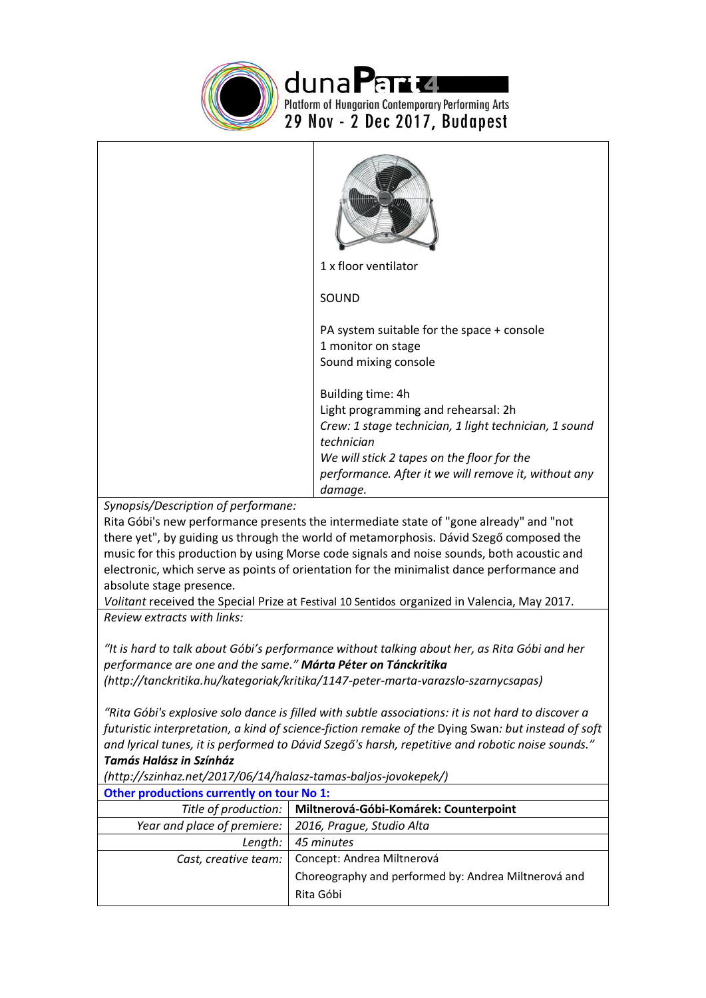

duna Part La Permission Arts<br>Platform of Hungarian Contemporary Performing Arts<br>29 Nov - 2 Dec 2017, Budapest

|                                                                                                                                                                                                                                                                                                                                                                                                                                                                                                                                               | 1 x floor ventilator                                                                                                                                                                                                                             |  |
|-----------------------------------------------------------------------------------------------------------------------------------------------------------------------------------------------------------------------------------------------------------------------------------------------------------------------------------------------------------------------------------------------------------------------------------------------------------------------------------------------------------------------------------------------|--------------------------------------------------------------------------------------------------------------------------------------------------------------------------------------------------------------------------------------------------|--|
|                                                                                                                                                                                                                                                                                                                                                                                                                                                                                                                                               | SOUND                                                                                                                                                                                                                                            |  |
|                                                                                                                                                                                                                                                                                                                                                                                                                                                                                                                                               | PA system suitable for the space + console<br>1 monitor on stage<br>Sound mixing console                                                                                                                                                         |  |
|                                                                                                                                                                                                                                                                                                                                                                                                                                                                                                                                               | Building time: 4h<br>Light programming and rehearsal: 2h<br>Crew: 1 stage technician, 1 light technician, 1 sound<br>technician<br>We will stick 2 tapes on the floor for the<br>performance. After it we will remove it, without any<br>damage. |  |
| Synopsis/Description of performane:<br>Rita Góbi's new performance presents the intermediate state of "gone already" and "not<br>there yet", by guiding us through the world of metamorphosis. Dávid Szegő composed the<br>music for this production by using Morse code signals and noise sounds, both acoustic and<br>electronic, which serve as points of orientation for the minimalist dance performance and<br>absolute stage presence.<br>Volitant received the Special Prize at Festival 10 Sentidos organized in Valencia, May 2017. |                                                                                                                                                                                                                                                  |  |
| Review extracts with links:<br>"It is hard to talk about Góbi's performance without talking about her, as Rita Góbi and her<br>performance are one and the same." Márta Péter on Tánckritika<br>(http://tanckritika.hu/kategoriak/kritika/1147-peter-marta-varazslo-szarnycsapas)                                                                                                                                                                                                                                                             |                                                                                                                                                                                                                                                  |  |
| "Rita Góbi's explosive solo dance is filled with subtle associations: it is not hard to discover a<br>futuristic interpretation, a kind of science-fiction remake of the Dying Swan: but instead of soft<br>and lyrical tunes, it is performed to Dávid Szegő's harsh, repetitive and robotic noise sounds."<br><b>Tamás Halász in Színház</b><br>(http://szinhaz.net/2017/06/14/halasz-tamas-baljos-jovokepek/)                                                                                                                              |                                                                                                                                                                                                                                                  |  |
| Other productions currently on tour No 1:                                                                                                                                                                                                                                                                                                                                                                                                                                                                                                     |                                                                                                                                                                                                                                                  |  |
| Title of production:                                                                                                                                                                                                                                                                                                                                                                                                                                                                                                                          | Miltnerová-Góbi-Komárek: Counterpoint                                                                                                                                                                                                            |  |
| Year and place of premiere:                                                                                                                                                                                                                                                                                                                                                                                                                                                                                                                   | 2016, Prague, Studio Alta                                                                                                                                                                                                                        |  |
| Length:                                                                                                                                                                                                                                                                                                                                                                                                                                                                                                                                       | 45 minutes                                                                                                                                                                                                                                       |  |
| Cast, creative team:                                                                                                                                                                                                                                                                                                                                                                                                                                                                                                                          | Concept: Andrea Miltnerová<br>Choreography and performed by: Andrea Miltnerová and<br>Rita Góbi                                                                                                                                                  |  |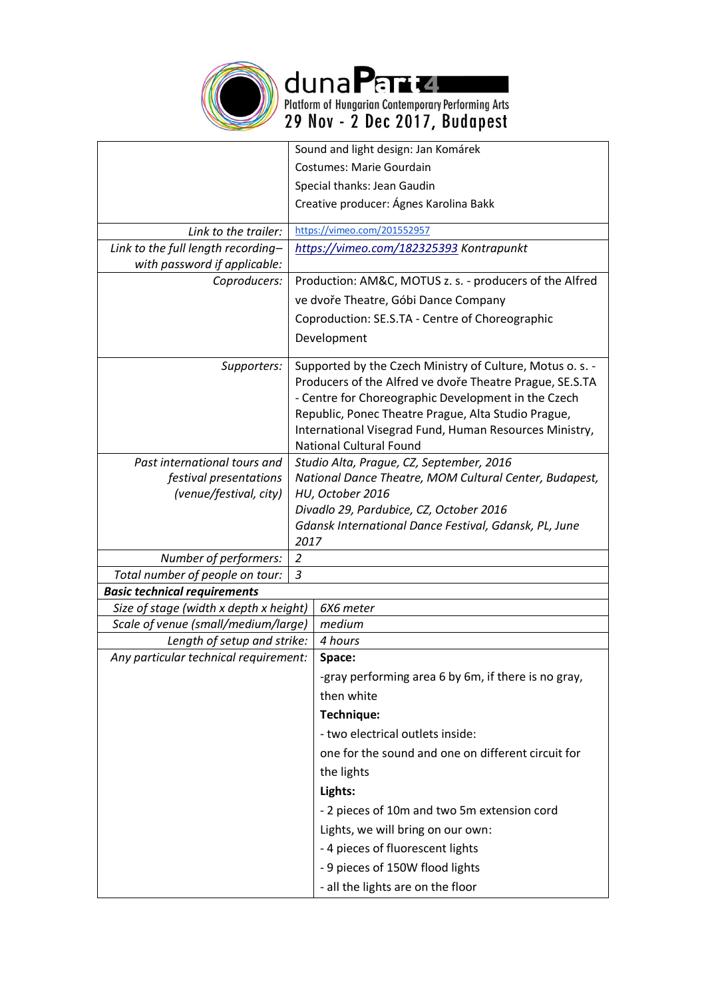

duna Part La Permission Arts<br>Platform of Hungarian Contemporary Performing Arts<br>29 Nov - 2 Dec 2017, Budapest

|                                        |                                                                                                                                                                                                                                                                                                                                 | Sound and light design: Jan Komárek                   |
|----------------------------------------|---------------------------------------------------------------------------------------------------------------------------------------------------------------------------------------------------------------------------------------------------------------------------------------------------------------------------------|-------------------------------------------------------|
|                                        |                                                                                                                                                                                                                                                                                                                                 | <b>Costumes: Marie Gourdain</b>                       |
|                                        | Special thanks: Jean Gaudin                                                                                                                                                                                                                                                                                                     |                                                       |
|                                        |                                                                                                                                                                                                                                                                                                                                 | Creative producer: Ágnes Karolina Bakk                |
| Link to the trailer:                   |                                                                                                                                                                                                                                                                                                                                 | https://vimeo.com/201552957                           |
| Link to the full length recording-     |                                                                                                                                                                                                                                                                                                                                 | https://vimeo.com/182325393 Kontrapunkt               |
| with password if applicable:           |                                                                                                                                                                                                                                                                                                                                 |                                                       |
| Coproducers:                           | Production: AM&C, MOTUS z. s. - producers of the Alfred                                                                                                                                                                                                                                                                         |                                                       |
|                                        |                                                                                                                                                                                                                                                                                                                                 | ve dvoře Theatre, Góbi Dance Company                  |
|                                        |                                                                                                                                                                                                                                                                                                                                 | Coproduction: SE.S.TA - Centre of Choreographic       |
|                                        |                                                                                                                                                                                                                                                                                                                                 | Development                                           |
| Supporters:                            | Supported by the Czech Ministry of Culture, Motus o. s. -<br>Producers of the Alfred ve dvoře Theatre Prague, SE.S.TA<br>- Centre for Choreographic Development in the Czech<br>Republic, Ponec Theatre Prague, Alta Studio Prague,<br>International Visegrad Fund, Human Resources Ministry,<br><b>National Cultural Found</b> |                                                       |
| Past international tours and           | Studio Alta, Prague, CZ, September, 2016                                                                                                                                                                                                                                                                                        |                                                       |
| festival presentations                 | National Dance Theatre, MOM Cultural Center, Budapest,                                                                                                                                                                                                                                                                          |                                                       |
| (venue/festival, city)                 |                                                                                                                                                                                                                                                                                                                                 | HU, October 2016                                      |
|                                        |                                                                                                                                                                                                                                                                                                                                 | Divadlo 29, Pardubice, CZ, October 2016               |
|                                        | 2017                                                                                                                                                                                                                                                                                                                            | Gdansk International Dance Festival, Gdansk, PL, June |
| Number of performers:                  | $\overline{2}$                                                                                                                                                                                                                                                                                                                  |                                                       |
| Total number of people on tour:        | 3                                                                                                                                                                                                                                                                                                                               |                                                       |
| <b>Basic technical requirements</b>    |                                                                                                                                                                                                                                                                                                                                 |                                                       |
| Size of stage (width x depth x height) |                                                                                                                                                                                                                                                                                                                                 | 6X6 meter                                             |
| Scale of venue (small/medium/large)    |                                                                                                                                                                                                                                                                                                                                 | medium                                                |
| Length of setup and strike:            |                                                                                                                                                                                                                                                                                                                                 | 4 hours                                               |
| Any particular technical requirement:  |                                                                                                                                                                                                                                                                                                                                 | Space:                                                |
|                                        |                                                                                                                                                                                                                                                                                                                                 | -gray performing area 6 by 6m, if there is no gray,   |
|                                        |                                                                                                                                                                                                                                                                                                                                 | then white                                            |
|                                        |                                                                                                                                                                                                                                                                                                                                 | Technique:                                            |
|                                        |                                                                                                                                                                                                                                                                                                                                 | - two electrical outlets inside:                      |
|                                        |                                                                                                                                                                                                                                                                                                                                 | one for the sound and one on different circuit for    |
|                                        |                                                                                                                                                                                                                                                                                                                                 | the lights                                            |
|                                        |                                                                                                                                                                                                                                                                                                                                 | Lights:                                               |
|                                        |                                                                                                                                                                                                                                                                                                                                 | - 2 pieces of 10m and two 5m extension cord           |
|                                        |                                                                                                                                                                                                                                                                                                                                 | Lights, we will bring on our own:                     |
|                                        |                                                                                                                                                                                                                                                                                                                                 | - 4 pieces of fluorescent lights                      |
|                                        |                                                                                                                                                                                                                                                                                                                                 | - 9 pieces of 150W flood lights                       |
|                                        |                                                                                                                                                                                                                                                                                                                                 | - all the lights are on the floor                     |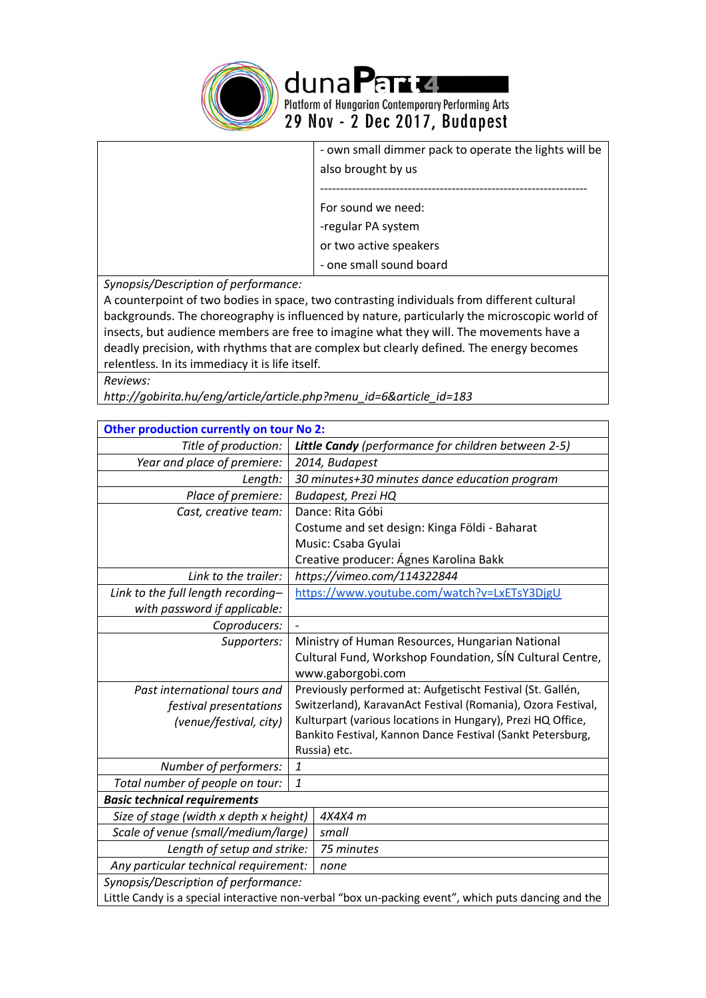

duna Partie Leurs<br>
Platform of Hungarian Contemporary Performing Arts<br>
29 Nov - 2 Dec 2017, Budapest

| - own small dimmer pack to operate the lights will be |
|-------------------------------------------------------|
| also brought by us                                    |
|                                                       |
| For sound we need:                                    |
| -regular PA system                                    |
| or two active speakers                                |
| - one small sound board                               |

*Synopsis/Description of performance:*

A counterpoint of two bodies in space, two contrasting individuals from different cultural backgrounds. The choreography is influenced by nature, particularly the microscopic world of insects, but audience members are free to imagine what they will. The movements have a deadly precision, with rhythms that are complex but clearly defined. The energy becomes relentless. In its immediacy it is life itself.

*Reviews:*

*http://gobirita.hu/eng/article/article.php?menu\_id=6&article\_id=183* 

| Other production currently on tour No 2:                                                            |                                                              |  |
|-----------------------------------------------------------------------------------------------------|--------------------------------------------------------------|--|
| Title of production:                                                                                | Little Candy (performance for children between 2-5)          |  |
| Year and place of premiere:                                                                         | 2014, Budapest                                               |  |
| Length:                                                                                             | 30 minutes+30 minutes dance education program                |  |
| Place of premiere:                                                                                  | <b>Budapest, Prezi HQ</b>                                    |  |
| Cast, creative team:                                                                                | Dance: Rita Góbi                                             |  |
|                                                                                                     | Costume and set design: Kinga Földi - Baharat                |  |
|                                                                                                     | Music: Csaba Gyulai                                          |  |
|                                                                                                     | Creative producer: Ágnes Karolina Bakk                       |  |
| Link to the trailer:                                                                                | https://vimeo.com/114322844                                  |  |
| Link to the full length recording-                                                                  | https://www.youtube.com/watch?v=LxETsY3DjgU                  |  |
| with password if applicable:                                                                        |                                                              |  |
| Coproducers:                                                                                        |                                                              |  |
| Supporters:                                                                                         | Ministry of Human Resources, Hungarian National              |  |
|                                                                                                     | Cultural Fund, Workshop Foundation, SÍN Cultural Centre,     |  |
|                                                                                                     | www.gaborgobi.com                                            |  |
| Past international tours and                                                                        | Previously performed at: Aufgetischt Festival (St. Gallén,   |  |
| festival presentations                                                                              | Switzerland), KaravanAct Festival (Romania), Ozora Festival, |  |
| (venue/festival, city)                                                                              | Kulturpart (various locations in Hungary), Prezi HQ Office,  |  |
|                                                                                                     | Bankito Festival, Kannon Dance Festival (Sankt Petersburg,   |  |
|                                                                                                     | Russia) etc.                                                 |  |
| Number of performers:                                                                               | 1                                                            |  |
| Total number of people on tour:                                                                     | 1                                                            |  |
| <b>Basic technical requirements</b>                                                                 |                                                              |  |
| Size of stage (width x depth x height)                                                              | 4X4X4 m                                                      |  |
| Scale of venue (small/medium/large)                                                                 | small                                                        |  |
| Length of setup and strike:                                                                         | 75 minutes                                                   |  |
| Any particular technical requirement:                                                               | none                                                         |  |
| Synopsis/Description of performance:                                                                |                                                              |  |
| Little Candy is a special interactive non-verbal "box un-packing event", which puts dancing and the |                                                              |  |